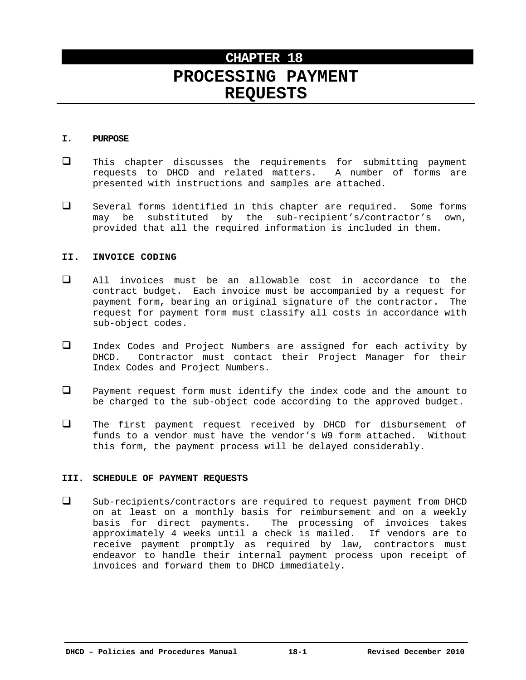# **CHAPTER 18 PROCESSING PAYMENT REQUESTS**

### **I. PURPOSE**

- $\Box$  This chapter discusses the requirements for submitting payment requests to DHCD and related matters. A number of forms are presented with instructions and samples are attached.
- Several forms identified in this chapter are required. Some forms may be substituted by the sub-recipient's/contractor's own, provided that all the required information is included in them.

## **II. INVOICE CODING**

- All invoices must be an allowable cost in accordance to the contract budget. Each invoice must be accompanied by a request for payment form, bearing an original signature of the contractor. The request for payment form must classify all costs in accordance with sub-object codes.
- Index Codes and Project Numbers are assigned for each activity by DHCD. Contractor must contact their Project Manager for their Index Codes and Project Numbers.
- $\Box$  Payment request form must identify the index code and the amount to be charged to the sub-object code according to the approved budget.
- $\Box$  The first payment request received by DHCD for disbursement of funds to a vendor must have the vendor's W9 form attached. Without this form, the payment process will be delayed considerably.

## **III. SCHEDULE OF PAYMENT REQUESTS**

 $\square$  Sub-recipients/contractors are required to request payment from DHCD on at least on a monthly basis for reimbursement and on a weekly basis for direct payments. The processing of invoices takes approximately 4 weeks until a check is mailed. If vendors are to receive payment promptly as required by law, contractors must endeavor to handle their internal payment process upon receipt of invoices and forward them to DHCD immediately.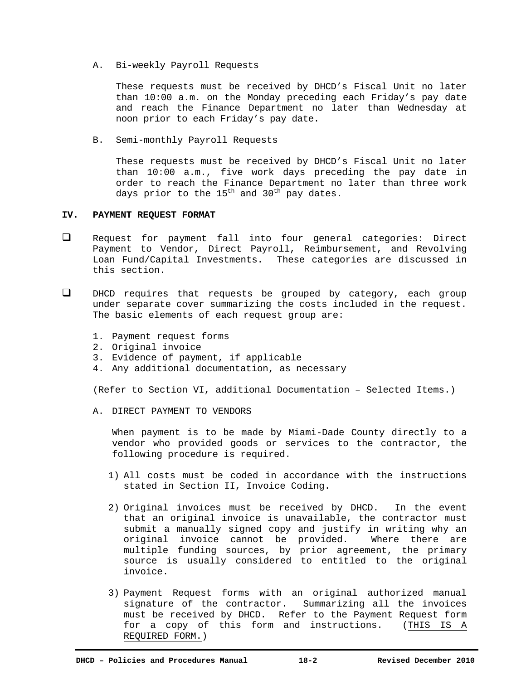A. Bi-weekly Payroll Requests

These requests must be received by DHCD's Fiscal Unit no later than 10:00 a.m. on the Monday preceding each Friday's pay date and reach the Finance Department no later than Wednesday at noon prior to each Friday's pay date.

B. Semi-monthly Payroll Requests

These requests must be received by DHCD's Fiscal Unit no later than 10:00 a.m., five work days preceding the pay date in order to reach the Finance Department no later than three work days prior to the  $15^{th}$  and  $30^{th}$  pay dates.

## **IV. PAYMENT REQUEST FORMAT**

- Request for payment fall into four general categories: Direct Payment to Vendor, Direct Payroll, Reimbursement, and Revolving Loan Fund/Capital Investments. These categories are discussed in this section.
- $\Box$  DHCD requires that requests be grouped by category, each group under separate cover summarizing the costs included in the request. The basic elements of each request group are:
	- 1. Payment request forms
	- 2. Original invoice
	- 3. Evidence of payment, if applicable
	- 4. Any additional documentation, as necessary

(Refer to Section VI, additional Documentation – Selected Items.)

A. DIRECT PAYMENT TO VENDORS

When payment is to be made by Miami-Dade County directly to a vendor who provided goods or services to the contractor, the following procedure is required.

- 1) All costs must be coded in accordance with the instructions stated in Section II, Invoice Coding.
- 2) Original invoices must be received by DHCD. In the event that an original invoice is unavailable, the contractor must submit a manually signed copy and justify in writing why an original invoice cannot be provided. Where there are multiple funding sources, by prior agreement, the primary source is usually considered to entitled to the original invoice.
- 3) Payment Request forms with an original authorized manual signature of the contractor. Summarizing all the invoices must be received by DHCD. Refer to the Payment Request form for a copy of this form and instructions. (THIS IS A REQUIRED FORM.)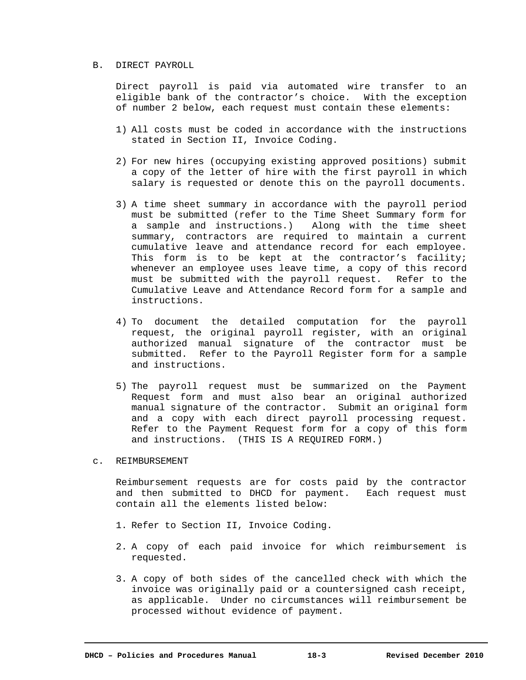#### B. DIRECT PAYROLL

 Direct payroll is paid via automated wire transfer to an eligible bank of the contractor's choice. With the exception of number 2 below, each request must contain these elements:

- 1) All costs must be coded in accordance with the instructions stated in Section II, Invoice Coding.
- 2) For new hires (occupying existing approved positions) submit a copy of the letter of hire with the first payroll in which salary is requested or denote this on the payroll documents.
- 3) A time sheet summary in accordance with the payroll period must be submitted (refer to the Time Sheet Summary form for a sample and instructions.) Along with the time sheet summary, contractors are required to maintain a current cumulative leave and attendance record for each employee. This form is to be kept at the contractor's facility; whenever an employee uses leave time, a copy of this record must be submitted with the payroll request. Refer to the Cumulative Leave and Attendance Record form for a sample and instructions.
- 4) To document the detailed computation for the payroll request, the original payroll register, with an original authorized manual signature of the contractor must be submitted. Refer to the Payroll Register form for a sample and instructions.
- 5) The payroll request must be summarized on the Payment Request form and must also bear an original authorized manual signature of the contractor. Submit an original form and a copy with each direct payroll processing request. Refer to the Payment Request form for a copy of this form and instructions. (THIS IS A REQUIRED FORM.)
- c. REIMBURSEMENT

Reimbursement requests are for costs paid by the contractor and then submitted to DHCD for payment. Each request must contain all the elements listed below:

- 1. Refer to Section II, Invoice Coding.
- 2. A copy of each paid invoice for which reimbursement is requested.
- 3. A copy of both sides of the cancelled check with which the invoice was originally paid or a countersigned cash receipt, as applicable. Under no circumstances will reimbursement be processed without evidence of payment.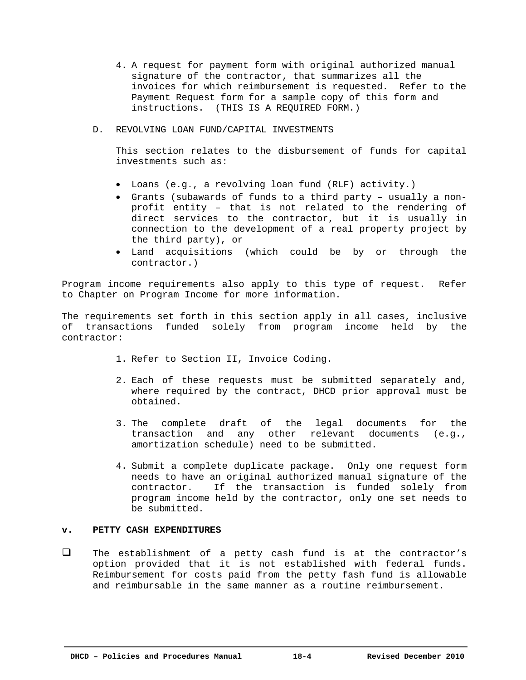- 4. A request for payment form with original authorized manual signature of the contractor, that summarizes all the invoices for which reimbursement is requested. Refer to the Payment Request form for a sample copy of this form and instructions. (THIS IS A REQUIRED FORM.)
- D. REVOLVING LOAN FUND/CAPITAL INVESTMENTS

 This section relates to the disbursement of funds for capital investments such as:

- Loans (e.g., a revolving loan fund (RLF) activity.)
- Grants (subawards of funds to a third party usually a nonprofit entity – that is not related to the rendering of direct services to the contractor, but it is usually in connection to the development of a real property project by the third party), or
- Land acquisitions (which could be by or through the contractor.)

Program income requirements also apply to this type of request. Refer to Chapter on Program Income for more information.

The requirements set forth in this section apply in all cases, inclusive of transactions funded solely from program income held by the contractor:

- 1. Refer to Section II, Invoice Coding.
- 2. Each of these requests must be submitted separately and, where required by the contract, DHCD prior approval must be obtained.
- 3. The complete draft of the legal documents for the transaction and any other relevant documents (e.g., amortization schedule) need to be submitted.
- 4. Submit a complete duplicate package. Only one request form needs to have an original authorized manual signature of the contractor. If the transaction is funded solely from program income held by the contractor, only one set needs to be submitted.

## **v. PETTY CASH EXPENDITURES**

 $\Box$  The establishment of a petty cash fund is at the contractor's option provided that it is not established with federal funds. Reimbursement for costs paid from the petty fash fund is allowable and reimbursable in the same manner as a routine reimbursement.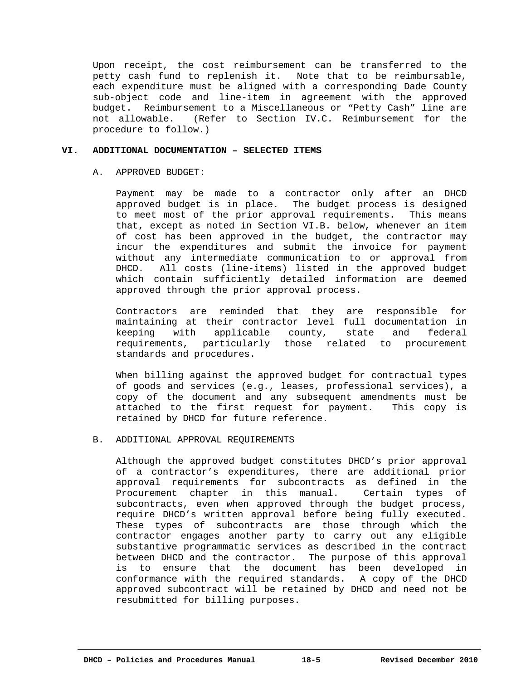Upon receipt, the cost reimbursement can be transferred to the petty cash fund to replenish it. Note that to be reimbursable, each expenditure must be aligned with a corresponding Dade County sub-object code and line-item in agreement with the approved budget. Reimbursement to a Miscellaneous or "Petty Cash" line are not allowable. (Refer to Section IV.C. Reimbursement for the procedure to follow.)

### **VI. ADDITIONAL DOCUMENTATION – SELECTED ITEMS**

## A. APPROVED BUDGET:

 Payment may be made to a contractor only after an DHCD approved budget is in place. The budget process is designed to meet most of the prior approval requirements. This means that, except as noted in Section VI.B. below, whenever an item of cost has been approved in the budget, the contractor may incur the expenditures and submit the invoice for payment without any intermediate communication to or approval from DHCD. All costs (line-items) listed in the approved budget which contain sufficiently detailed information are deemed approved through the prior approval process.

 Contractors are reminded that they are responsible for maintaining at their contractor level full documentation in keeping with applicable county, state and federal requirements, particularly those related to procurement standards and procedures.

When billing against the approved budget for contractual types of goods and services (e.g., leases, professional services), a copy of the document and any subsequent amendments must be attached to the first request for payment. This copy is retained by DHCD for future reference.

# B. ADDITIONAL APPROVAL REQUIREMENTS

Although the approved budget constitutes DHCD's prior approval of a contractor's expenditures, there are additional prior approval requirements for subcontracts as defined in the Procurement chapter in this manual. Certain types of subcontracts, even when approved through the budget process, require DHCD's written approval before being fully executed. These types of subcontracts are those through which the contractor engages another party to carry out any eligible substantive programmatic services as described in the contract between DHCD and the contractor. The purpose of this approval is to ensure that the document has been developed in conformance with the required standards. A copy of the DHCD approved subcontract will be retained by DHCD and need not be resubmitted for billing purposes.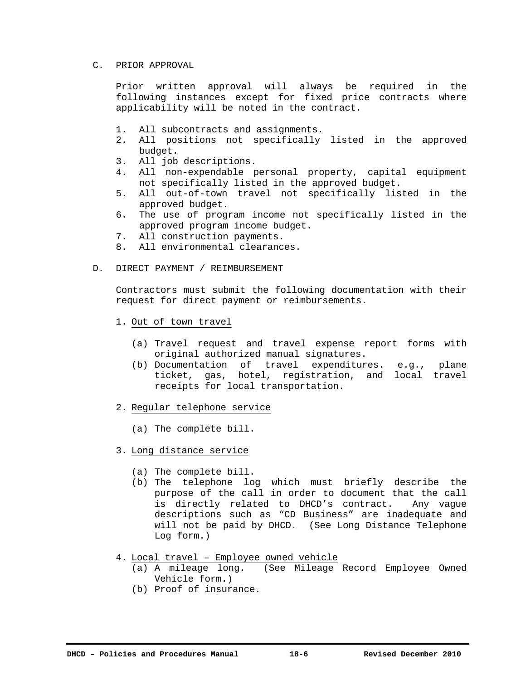### C. PRIOR APPROVAL

Prior written approval will always be required in the following instances except for fixed price contracts where applicability will be noted in the contract.

- 1. All subcontracts and assignments.
- 2. All positions not specifically listed in the approved budget.
- 3. All job descriptions.
- 4. All non-expendable personal property, capital equipment not specifically listed in the approved budget.
- 5. All out-of-town travel not specifically listed in the approved budget.
- 6. The use of program income not specifically listed in the approved program income budget.
- 7. All construction payments.
- 8. All environmental clearances.
- D. DIRECT PAYMENT / REIMBURSEMENT

 Contractors must submit the following documentation with their request for direct payment or reimbursements.

- 1. Out of town travel
	- (a) Travel request and travel expense report forms with original authorized manual signatures.
	- (b) Documentation of travel expenditures. e.g., plane ticket, gas, hotel, registration, and local travel receipts for local transportation.
- 2. Regular telephone service
	- (a) The complete bill.
- 3. Long distance service
	- (a) The complete bill.
	- (b) The telephone log which must briefly describe the purpose of the call in order to document that the call is directly related to DHCD's contract. Any vague descriptions such as "CD Business" are inadequate and will not be paid by DHCD. (See Long Distance Telephone Log form.)
- 4. Local travel Employee owned vehicle
	- (a) A mileage long. (See Mileage Record Employee Owned Vehicle form.)
	- (b) Proof of insurance.